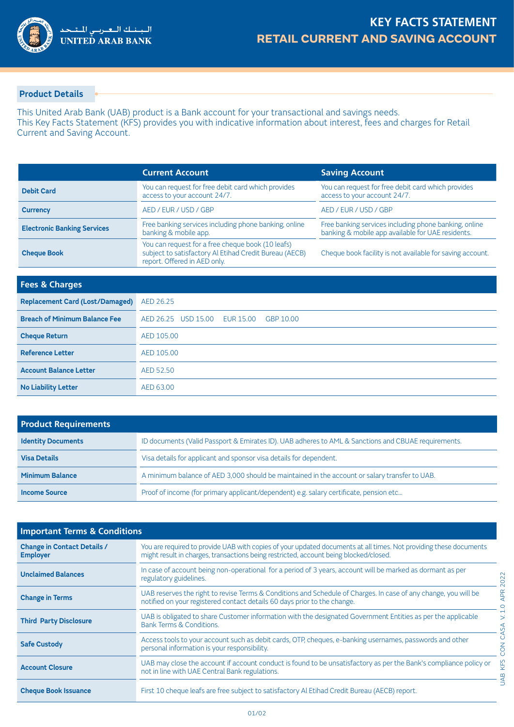

## **Product Details**

This United Arab Bank (UAB) product is a Bank account for your transactional and savings needs. This Key Facts Statement (KFS) provides you with indicative information about interest, fees and charges for Retail Current and Saving Account.

|                                    | <b>Current Account</b>                                                                                                                      | <b>Saving Account</b>                                                                                      |
|------------------------------------|---------------------------------------------------------------------------------------------------------------------------------------------|------------------------------------------------------------------------------------------------------------|
| <b>Debit Card</b>                  | You can request for free debit card which provides<br>access to your account 24/7.                                                          | You can request for free debit card which provides<br>access to your account 24/7.                         |
| <b>Currency</b>                    | AED / EUR / USD / GBP                                                                                                                       | AED / EUR / USD / GBP                                                                                      |
| <b>Electronic Banking Services</b> | Free banking services including phone banking, online<br>banking & mobile app.                                                              | Free banking services including phone banking, online<br>banking & mobile app available for UAE residents. |
| <b>Cheque Book</b>                 | You can request for a free cheque book (10 leafs)<br>subject to satisfactory Al Etihad Credit Bureau (AECB)<br>report. Offered in AED only. | Cheque book facility is not available for saving account.                                                  |

| <b>Fees &amp; Charges</b>              |                                               |
|----------------------------------------|-----------------------------------------------|
| <b>Replacement Card (Lost/Damaged)</b> | AED 26.25                                     |
| <b>Breach of Minimum Balance Fee</b>   | AED 26.25 USD 15.00<br>EUR 15.00<br>GBP 10.00 |
| <b>Cheque Return</b>                   | AED 105.00                                    |
| <b>Reference Letter</b>                | AED 105.00                                    |
| <b>Account Balance Letter</b>          | AED 52.50                                     |
| <b>No Liability Letter</b>             | AED 63.00                                     |

| <b>Product Requirements</b> |                                                                                                     |  |
|-----------------------------|-----------------------------------------------------------------------------------------------------|--|
| <b>Identity Documents</b>   | ID documents (Valid Passport & Emirates ID). UAB adheres to AML & Sanctions and CBUAE requirements. |  |
| <b>Visa Details</b>         | Visa details for applicant and sponsor visa details for dependent.                                  |  |
| <b>Minimum Balance</b>      | A minimum balance of AED 3,000 should be maintained in the account or salary transfer to UAB.       |  |
| <b>Income Source</b>        | Proof of income (for primary applicant/dependent) e.g. salary certificate, pension etc              |  |

| <b>Important Terms &amp; Conditions</b>               |                                                                                                                                                                                                            |
|-------------------------------------------------------|------------------------------------------------------------------------------------------------------------------------------------------------------------------------------------------------------------|
| <b>Change in Contact Details /</b><br><b>Employer</b> | You are required to provide UAB with copies of your updated documents at all times. Not providing these documents<br>might result in charges, transactions being restricted, account being blocked/closed. |
| <b>Unclaimed Balances</b>                             | In case of account being non-operational for a period of 3 years, account will be marked as dormant as per<br>regulatory guidelines.                                                                       |
| <b>Change in Terms</b>                                | UAB reserves the right to revise Terms & Conditions and Schedule of Charges. In case of any change, you will be<br>notified on your registered contact details 60 days prior to the change.                |
| <b>Third Party Disclosure</b>                         | UAB is obligated to share Customer information with the designated Government Entities as per the applicable<br>Bank Terms & Conditions.                                                                   |
| <b>Safe Custody</b>                                   | Access tools to your account such as debit cards, OTP, cheques, e-banking usernames, passwords and other<br>personal information is your responsibility.                                                   |
| <b>Account Closure</b>                                | UAB may close the account if account conduct is found to be unsatisfactory as per the Bank's compliance policy or<br>not in line with UAE Central Bank regulations.                                        |
| <b>Cheque Book Issuance</b>                           | First 10 cheque leafs are free subject to satisfactory Al Etihad Credit Bureau (AECB) report.                                                                                                              |